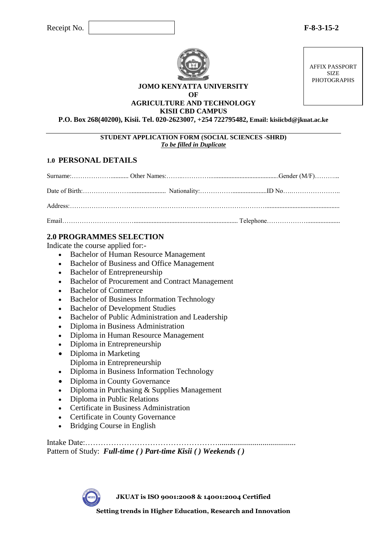

**JOMO KENYATTA UNIVERSITY OF AGRICULTURE AND TECHNOLOGY**

**KISII CBD CAMPUS**

**P.O. Box 268(40200), Kisii. Tel. 020-2623007, +254 722795482, Email: kisiicbd@jkuat.ac.ke**

**STUDENT APPLICATION FORM (SOCIAL SCIENCES -SHRD)** *To be filled in Duplicate*

### **1.0 PERSONAL DETAILS**

### **2.0 PROGRAMMES SELECTION**

Indicate the course applied for:-

- Bachelor of Human Resource Management
- Bachelor of Business and Office Management
- Bachelor of Entrepreneurship
- Bachelor of Procurement and Contract Management
- Bachelor of Commerce
- Bachelor of Business Information Technology
- Bachelor of Development Studies
- Bachelor of Public Administration and Leadership
- Diploma in Business Administration
- Diploma in Human Resource Management
- Diploma in Entrepreneurship
- Diploma in Marketing Diploma in Entrepreneurship
- Diploma in Business Information Technology
- Diploma in County Governance
- Diploma in Purchasing & Supplies Management
- Diploma in Public Relations
- Certificate in Business Administration
- Certificate in County Governance
- Bridging Course in English

Intake Date:……………………………………………........................................ Pattern of Study: *Full-time ( ) Part-time Kisii ( ) Weekends ( )*

**JKUAT is ISO 9001:2008 & 14001:2004 Certified**

**Setting trends in Higher Education, Research and Innovation**

AFFIX PASSPORT SIZE PHOTOGRAPHS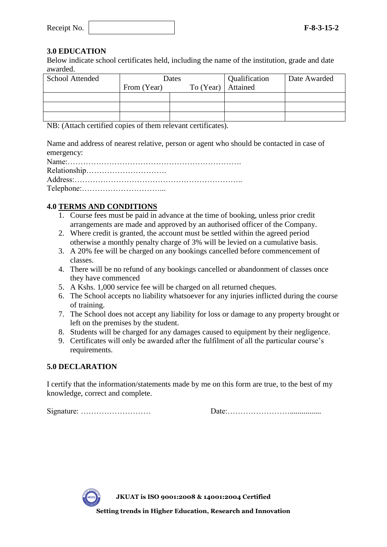| Receipt No. |  | $F-8-3-15-2$ |
|-------------|--|--------------|
|-------------|--|--------------|

### **3.0 EDUCATION**

Below indicate school certificates held, including the name of the institution, grade and date awarded.

| <b>School Attended</b> | Dates       |                      | Qualification | Date Awarded |
|------------------------|-------------|----------------------|---------------|--------------|
|                        | From (Year) | To $(Year)$ Attained |               |              |
|                        |             |                      |               |              |
|                        |             |                      |               |              |
|                        |             |                      |               |              |

NB: (Attach certified copies of them relevant certificates).

Name and address of nearest relative, person or agent who should be contacted in case of emergency:

# **4.0 TERMS AND CONDITIONS**

- 1. Course fees must be paid in advance at the time of booking, unless prior credit arrangements are made and approved by an authorised officer of the Company.
- 2. Where credit is granted, the account must be settled within the agreed period otherwise a monthly penalty charge of 3% will be levied on a cumulative basis.
- 3. A 20% fee will be charged on any bookings cancelled before commencement of classes.
- 4. There will be no refund of any bookings cancelled or abandonment of classes once they have commenced
- 5. A Kshs. 1,000 service fee will be charged on all returned cheques.
- 6. The School accepts no liability whatsoever for any injuries inflicted during the course of training.
- 7. The School does not accept any liability for loss or damage to any property brought or left on the premises by the student.
- 8. Students will be charged for any damages caused to equipment by their negligence.
- 9. Certificates will only be awarded after the fulfilment of all the particular course's requirements.

### **5.0 DECLARATION**

I certify that the information/statements made by me on this form are true, to the best of my knowledge, correct and complete.

Signature: ……………………… Date:……………………................



**JKUAT is ISO 9001:2008 & 14001:2004 Certified**

**Setting trends in Higher Education, Research and Innovation**